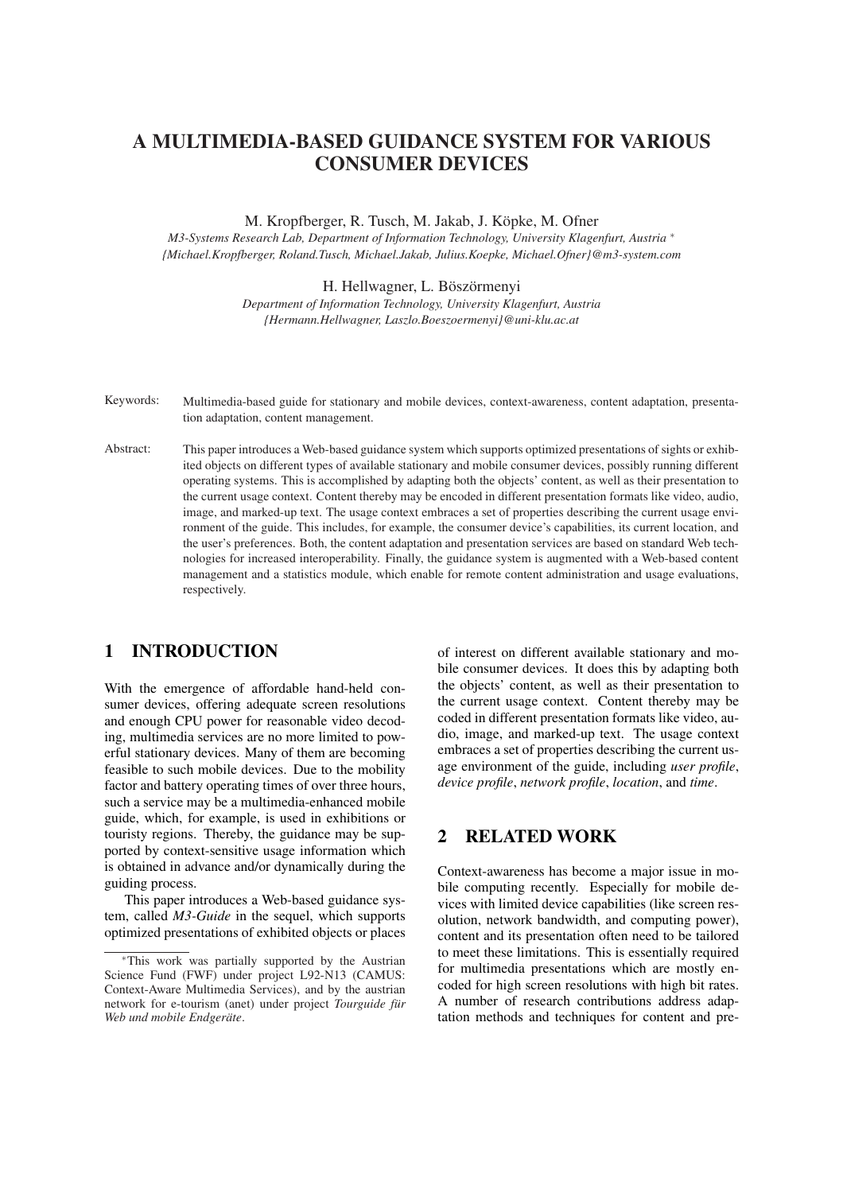# A MULTIMEDIA-BASED GUIDANCE SYSTEM FOR VARIOUS CONSUMER DEVICES

M. Kropfberger, R. Tusch, M. Jakab, J. Köpke, M. Ofner

*M3-Systems Research Lab, Department of Information Technology, University Klagenfurt, Austria* <sup>∗</sup> *{Michael.Kropfberger, Roland.Tusch, Michael.Jakab, Julius.Koepke, Michael.Ofner}@m3-system.com*

H. Hellwagner, L. Böszörmenyi

*Department of Information Technology, University Klagenfurt, Austria {Hermann.Hellwagner, Laszlo.Boeszoermenyi}@uni-klu.ac.at*

- Keywords: Multimedia-based guide for stationary and mobile devices, context-awareness, content adaptation, presentation adaptation, content management.
- Abstract: This paper introduces a Web-based guidance system which supports optimized presentations of sights or exhibited objects on different types of available stationary and mobile consumer devices, possibly running different operating systems. This is accomplished by adapting both the objects' content, as well as their presentation to the current usage context. Content thereby may be encoded in different presentation formats like video, audio, image, and marked-up text. The usage context embraces a set of properties describing the current usage environment of the guide. This includes, for example, the consumer device's capabilities, its current location, and the user's preferences. Both, the content adaptation and presentation services are based on standard Web technologies for increased interoperability. Finally, the guidance system is augmented with a Web-based content management and a statistics module, which enable for remote content administration and usage evaluations, respectively.

## 1 INTRODUCTION

With the emergence of affordable hand-held consumer devices, offering adequate screen resolutions and enough CPU power for reasonable video decoding, multimedia services are no more limited to powerful stationary devices. Many of them are becoming feasible to such mobile devices. Due to the mobility factor and battery operating times of over three hours, such a service may be a multimedia-enhanced mobile guide, which, for example, is used in exhibitions or touristy regions. Thereby, the guidance may be supported by context-sensitive usage information which is obtained in advance and/or dynamically during the guiding process.

This paper introduces a Web-based guidance system, called *M3-Guide* in the sequel, which supports optimized presentations of exhibited objects or places of interest on different available stationary and mobile consumer devices. It does this by adapting both the objects' content, as well as their presentation to the current usage context. Content thereby may be coded in different presentation formats like video, audio, image, and marked-up text. The usage context embraces a set of properties describing the current usage environment of the guide, including *user profile*, *device profile*, *network profile*, *location*, and *time*.

## 2 RELATED WORK

Context-awareness has become a major issue in mobile computing recently. Especially for mobile devices with limited device capabilities (like screen resolution, network bandwidth, and computing power), content and its presentation often need to be tailored to meet these limitations. This is essentially required for multimedia presentations which are mostly encoded for high screen resolutions with high bit rates. A number of research contributions address adaptation methods and techniques for content and pre-

<sup>∗</sup>This work was partially supported by the Austrian Science Fund (FWF) under project L92-N13 (CAMUS: Context-Aware Multimedia Services), and by the austrian network for e-tourism (anet) under project *Tourguide für Web und mobile Endgeräte*.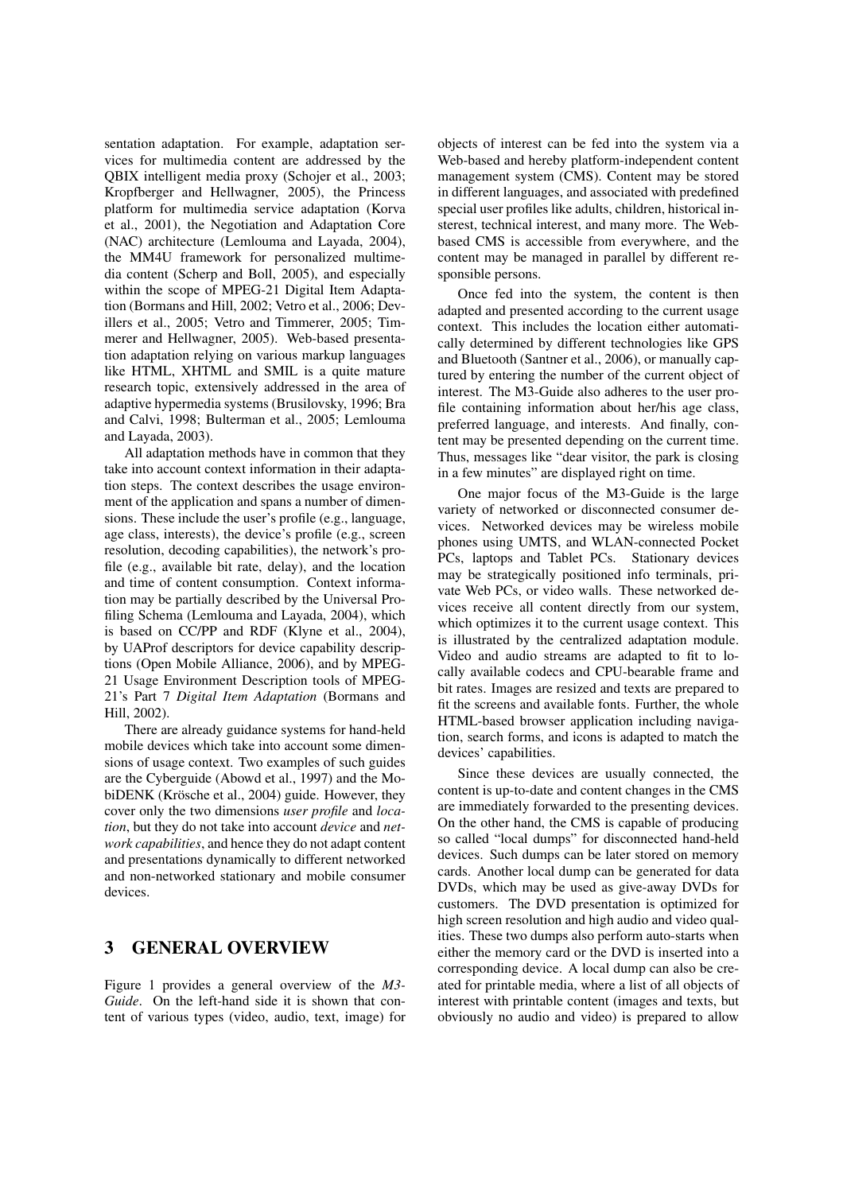sentation adaptation. For example, adaptation services for multimedia content are addressed by the QBIX intelligent media proxy (Schojer et al., 2003; Kropfberger and Hellwagner, 2005), the Princess platform for multimedia service adaptation (Korva et al., 2001), the Negotiation and Adaptation Core (NAC) architecture (Lemlouma and Layada, 2004), the MM4U framework for personalized multimedia content (Scherp and Boll, 2005), and especially within the scope of MPEG-21 Digital Item Adaptation (Bormans and Hill, 2002; Vetro et al., 2006; Devillers et al., 2005; Vetro and Timmerer, 2005; Timmerer and Hellwagner, 2005). Web-based presentation adaptation relying on various markup languages like HTML, XHTML and SMIL is a quite mature research topic, extensively addressed in the area of adaptive hypermedia systems (Brusilovsky, 1996; Bra and Calvi, 1998; Bulterman et al., 2005; Lemlouma and Layada, 2003).

All adaptation methods have in common that they take into account context information in their adaptation steps. The context describes the usage environment of the application and spans a number of dimensions. These include the user's profile (e.g., language, age class, interests), the device's profile (e.g., screen resolution, decoding capabilities), the network's profile (e.g., available bit rate, delay), and the location and time of content consumption. Context information may be partially described by the Universal Profiling Schema (Lemlouma and Layada, 2004), which is based on CC/PP and RDF (Klyne et al., 2004), by UAProf descriptors for device capability descriptions (Open Mobile Alliance, 2006), and by MPEG-21 Usage Environment Description tools of MPEG-21's Part 7 *Digital Item Adaptation* (Bormans and Hill, 2002).

There are already guidance systems for hand-held mobile devices which take into account some dimensions of usage context. Two examples of such guides are the Cyberguide (Abowd et al., 1997) and the MobiDENK (Krösche et al., 2004) guide. However, they cover only the two dimensions *user profile* and *location*, but they do not take into account *device* and *network capabilities*, and hence they do not adapt content and presentations dynamically to different networked and non-networked stationary and mobile consumer devices.

### 3 GENERAL OVERVIEW

Figure 1 provides a general overview of the *M3- Guide*. On the left-hand side it is shown that content of various types (video, audio, text, image) for objects of interest can be fed into the system via a Web-based and hereby platform-independent content management system (CMS). Content may be stored in different languages, and associated with predefined special user profiles like adults, children, historical insterest, technical interest, and many more. The Webbased CMS is accessible from everywhere, and the content may be managed in parallel by different responsible persons.

Once fed into the system, the content is then adapted and presented according to the current usage context. This includes the location either automatically determined by different technologies like GPS and Bluetooth (Santner et al., 2006), or manually captured by entering the number of the current object of interest. The M3-Guide also adheres to the user profile containing information about her/his age class, preferred language, and interests. And finally, content may be presented depending on the current time. Thus, messages like "dear visitor, the park is closing in a few minutes" are displayed right on time.

One major focus of the M3-Guide is the large variety of networked or disconnected consumer devices. Networked devices may be wireless mobile phones using UMTS, and WLAN-connected Pocket PCs, laptops and Tablet PCs. Stationary devices may be strategically positioned info terminals, private Web PCs, or video walls. These networked devices receive all content directly from our system, which optimizes it to the current usage context. This is illustrated by the centralized adaptation module. Video and audio streams are adapted to fit to locally available codecs and CPU-bearable frame and bit rates. Images are resized and texts are prepared to fit the screens and available fonts. Further, the whole HTML-based browser application including navigation, search forms, and icons is adapted to match the devices' capabilities.

Since these devices are usually connected, the content is up-to-date and content changes in the CMS are immediately forwarded to the presenting devices. On the other hand, the CMS is capable of producing so called "local dumps" for disconnected hand-held devices. Such dumps can be later stored on memory cards. Another local dump can be generated for data DVDs, which may be used as give-away DVDs for customers. The DVD presentation is optimized for high screen resolution and high audio and video qualities. These two dumps also perform auto-starts when either the memory card or the DVD is inserted into a corresponding device. A local dump can also be created for printable media, where a list of all objects of interest with printable content (images and texts, but obviously no audio and video) is prepared to allow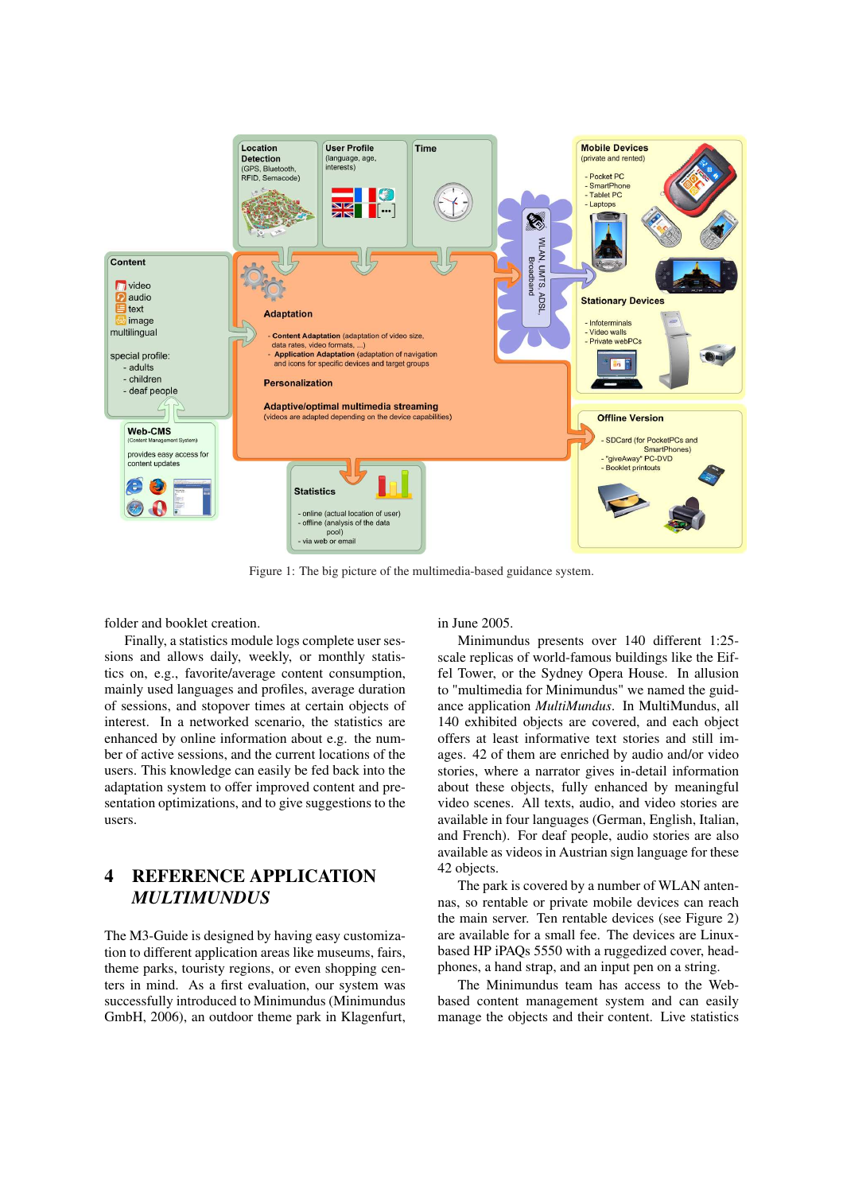

Figure 1: The big picture of the multimedia-based guidance system.

folder and booklet creation.

Finally, a statistics module logs complete user sessions and allows daily, weekly, or monthly statistics on, e.g., favorite/average content consumption, mainly used languages and profiles, average duration of sessions, and stopover times at certain objects of interest. In a networked scenario, the statistics are enhanced by online information about e.g. the number of active sessions, and the current locations of the users. This knowledge can easily be fed back into the adaptation system to offer improved content and presentation optimizations, and to give suggestions to the users.

# 4 REFERENCE APPLICATION *MULTIMUNDUS*

The M3-Guide is designed by having easy customization to different application areas like museums, fairs, theme parks, touristy regions, or even shopping centers in mind. As a first evaluation, our system was successfully introduced to Minimundus (Minimundus GmbH, 2006), an outdoor theme park in Klagenfurt, in June 2005.

Minimundus presents over 140 different 1:25 scale replicas of world-famous buildings like the Eiffel Tower, or the Sydney Opera House. In allusion to "multimedia for Minimundus" we named the guidance application *MultiMundus*. In MultiMundus, all 140 exhibited objects are covered, and each object offers at least informative text stories and still images. 42 of them are enriched by audio and/or video stories, where a narrator gives in-detail information about these objects, fully enhanced by meaningful video scenes. All texts, audio, and video stories are available in four languages (German, English, Italian, and French). For deaf people, audio stories are also available as videos in Austrian sign language for these 42 objects.

The park is covered by a number of WLAN antennas, so rentable or private mobile devices can reach the main server. Ten rentable devices (see Figure 2) are available for a small fee. The devices are Linuxbased HP iPAQs 5550 with a ruggedized cover, headphones, a hand strap, and an input pen on a string.

The Minimundus team has access to the Webbased content management system and can easily manage the objects and their content. Live statistics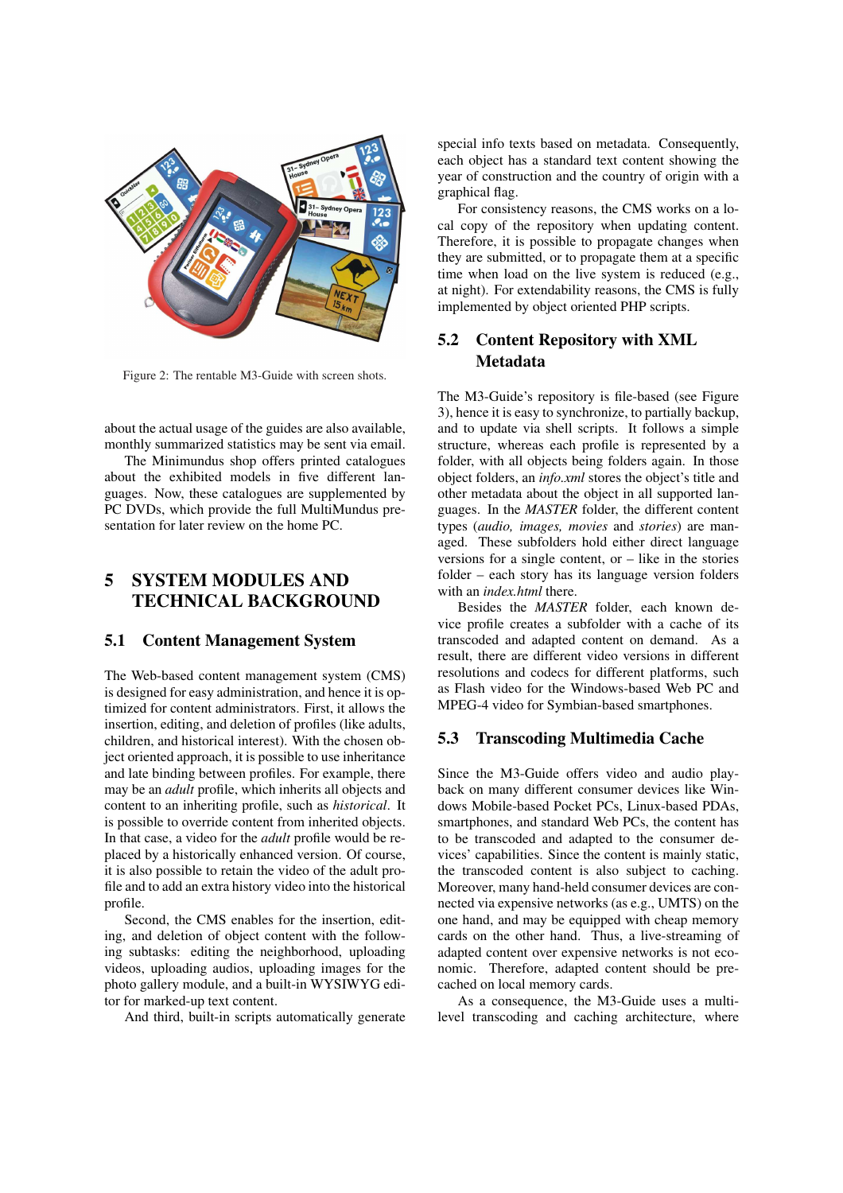

Figure 2: The rentable M3-Guide with screen shots.

about the actual usage of the guides are also available, monthly summarized statistics may be sent via email.

The Minimundus shop offers printed catalogues about the exhibited models in five different languages. Now, these catalogues are supplemented by PC DVDs, which provide the full MultiMundus presentation for later review on the home PC.

# 5 SYSTEM MODULES AND TECHNICAL BACKGROUND

### 5.1 Content Management System

The Web-based content management system (CMS) is designed for easy administration, and hence it is optimized for content administrators. First, it allows the insertion, editing, and deletion of profiles (like adults, children, and historical interest). With the chosen object oriented approach, it is possible to use inheritance and late binding between profiles. For example, there may be an *adult* profile, which inherits all objects and content to an inheriting profile, such as *historical*. It is possible to override content from inherited objects. In that case, a video for the *adult* profile would be replaced by a historically enhanced version. Of course, it is also possible to retain the video of the adult profile and to add an extra history video into the historical profile.

Second, the CMS enables for the insertion, editing, and deletion of object content with the following subtasks: editing the neighborhood, uploading videos, uploading audios, uploading images for the photo gallery module, and a built-in WYSIWYG editor for marked-up text content.

And third, built-in scripts automatically generate

special info texts based on metadata. Consequently, each object has a standard text content showing the year of construction and the country of origin with a graphical flag.

For consistency reasons, the CMS works on a local copy of the repository when updating content. Therefore, it is possible to propagate changes when they are submitted, or to propagate them at a specific time when load on the live system is reduced (e.g., at night). For extendability reasons, the CMS is fully implemented by object oriented PHP scripts.

### 5.2 Content Repository with XML Metadata

The M3-Guide's repository is file-based (see Figure 3), hence it is easy to synchronize, to partially backup, and to update via shell scripts. It follows a simple structure, whereas each profile is represented by a folder, with all objects being folders again. In those object folders, an *info.xml* stores the object's title and other metadata about the object in all supported languages. In the *MASTER* folder, the different content types (*audio, images, movies* and *stories*) are managed. These subfolders hold either direct language versions for a single content, or  $-$  like in the stories folder – each story has its language version folders with an *index.html* there.

Besides the *MASTER* folder, each known device profile creates a subfolder with a cache of its transcoded and adapted content on demand. As a result, there are different video versions in different resolutions and codecs for different platforms, such as Flash video for the Windows-based Web PC and MPEG-4 video for Symbian-based smartphones.

#### 5.3 Transcoding Multimedia Cache

Since the M3-Guide offers video and audio playback on many different consumer devices like Windows Mobile-based Pocket PCs, Linux-based PDAs, smartphones, and standard Web PCs, the content has to be transcoded and adapted to the consumer devices' capabilities. Since the content is mainly static, the transcoded content is also subject to caching. Moreover, many hand-held consumer devices are connected via expensive networks (as e.g., UMTS) on the one hand, and may be equipped with cheap memory cards on the other hand. Thus, a live-streaming of adapted content over expensive networks is not economic. Therefore, adapted content should be precached on local memory cards.

As a consequence, the M3-Guide uses a multilevel transcoding and caching architecture, where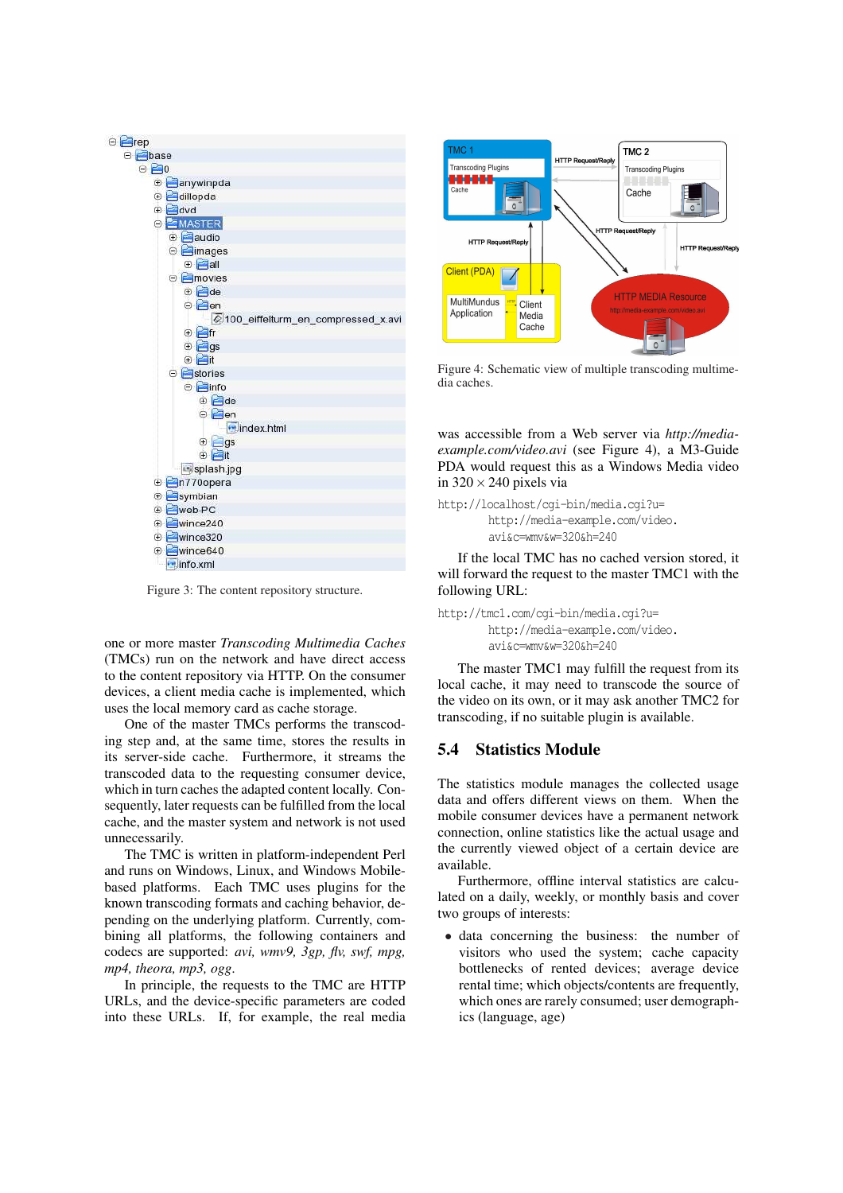

Figure 3: The content repository structure.

one or more master *Transcoding Multimedia Caches* (TMCs) run on the network and have direct access to the content repository via HTTP. On the consumer devices, a client media cache is implemented, which uses the local memory card as cache storage.

One of the master TMCs performs the transcoding step and, at the same time, stores the results in its server-side cache. Furthermore, it streams the transcoded data to the requesting consumer device, which in turn caches the adapted content locally. Consequently, later requests can be fulfilled from the local cache, and the master system and network is not used unnecessarily.

The TMC is written in platform-independent Perl and runs on Windows, Linux, and Windows Mobilebased platforms. Each TMC uses plugins for the known transcoding formats and caching behavior, depending on the underlying platform. Currently, combining all platforms, the following containers and codecs are supported: *avi, wmv9, 3gp, flv, swf, mpg, mp4, theora, mp3, ogg*.

In principle, the requests to the TMC are HTTP URLs, and the device-specific parameters are coded into these URLs. If, for example, the real media



Figure 4: Schematic view of multiple transcoding multimedia caches.

was accessible from a Web server via *http://mediaexample.com/video.avi* (see Figure 4), a M3-Guide PDA would request this as a Windows Media video in  $320 \times 240$  pixels via

http://localhost/cgi-bin/media.cgi?u= http://media-example.com/video. avi&c=wmv&w=320&h=240

If the local TMC has no cached version stored, it will forward the request to the master TMC1 with the following URL:

http://tmc1.com/cgi-bin/media.cgi?u= http://media-example.com/video. avi&c=wmv&w=320&h=240

The master TMC1 may fulfill the request from its local cache, it may need to transcode the source of the video on its own, or it may ask another TMC2 for transcoding, if no suitable plugin is available.

#### 5.4 Statistics Module

The statistics module manages the collected usage data and offers different views on them. When the mobile consumer devices have a permanent network connection, online statistics like the actual usage and the currently viewed object of a certain device are available.

Furthermore, offline interval statistics are calculated on a daily, weekly, or monthly basis and cover two groups of interests:

• data concerning the business: the number of visitors who used the system; cache capacity bottlenecks of rented devices; average device rental time; which objects/contents are frequently, which ones are rarely consumed; user demographics (language, age)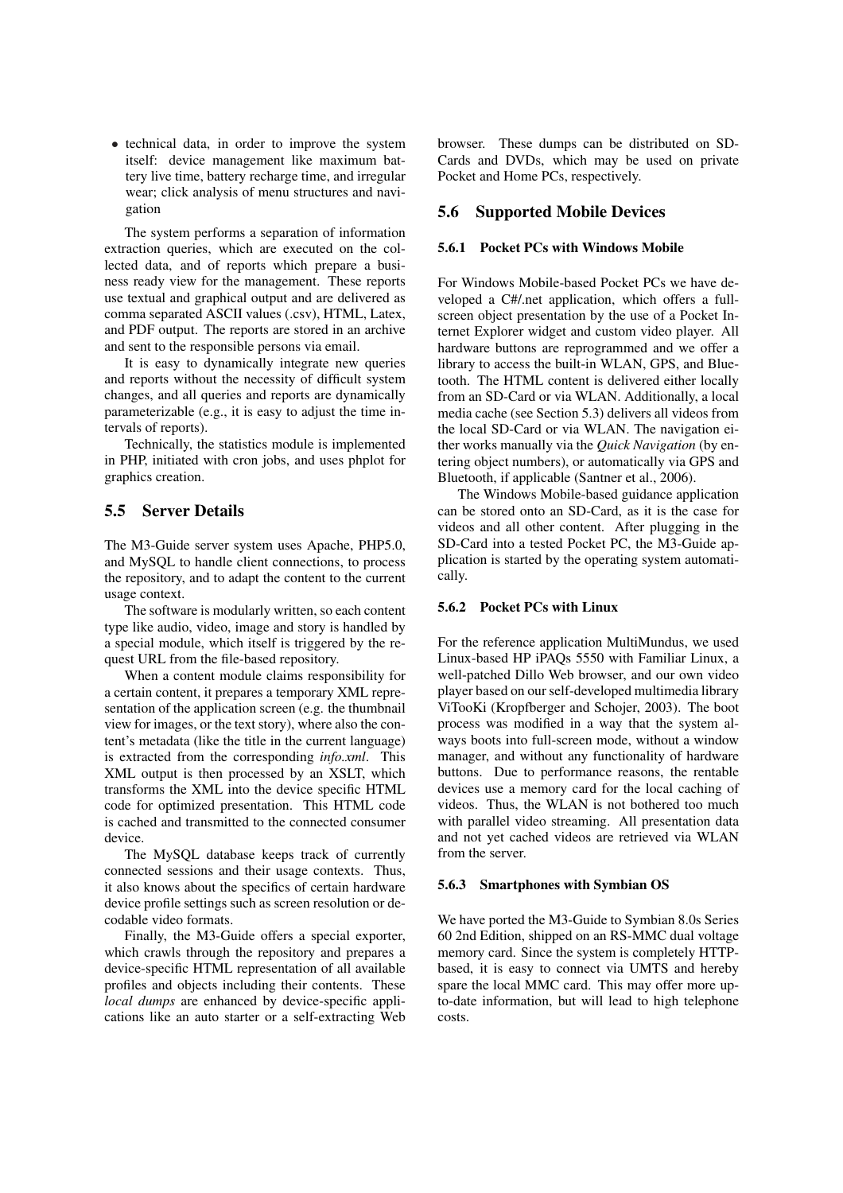• technical data, in order to improve the system itself: device management like maximum battery live time, battery recharge time, and irregular wear; click analysis of menu structures and navigation

The system performs a separation of information extraction queries, which are executed on the collected data, and of reports which prepare a business ready view for the management. These reports use textual and graphical output and are delivered as comma separated ASCII values (.csv), HTML, Latex, and PDF output. The reports are stored in an archive and sent to the responsible persons via email.

It is easy to dynamically integrate new queries and reports without the necessity of difficult system changes, and all queries and reports are dynamically parameterizable (e.g., it is easy to adjust the time intervals of reports).

Technically, the statistics module is implemented in PHP, initiated with cron jobs, and uses phplot for graphics creation.

### 5.5 Server Details

The M3-Guide server system uses Apache, PHP5.0, and MySQL to handle client connections, to process the repository, and to adapt the content to the current usage context.

The software is modularly written, so each content type like audio, video, image and story is handled by a special module, which itself is triggered by the request URL from the file-based repository.

When a content module claims responsibility for a certain content, it prepares a temporary XML representation of the application screen (e.g. the thumbnail view for images, or the text story), where also the content's metadata (like the title in the current language) is extracted from the corresponding *info.xml*. This XML output is then processed by an XSLT, which transforms the XML into the device specific HTML code for optimized presentation. This HTML code is cached and transmitted to the connected consumer device.

The MySQL database keeps track of currently connected sessions and their usage contexts. Thus, it also knows about the specifics of certain hardware device profile settings such as screen resolution or decodable video formats.

Finally, the M3-Guide offers a special exporter, which crawls through the repository and prepares a device-specific HTML representation of all available profiles and objects including their contents. These *local dumps* are enhanced by device-specific applications like an auto starter or a self-extracting Web browser. These dumps can be distributed on SD-Cards and DVDs, which may be used on private Pocket and Home PCs, respectively.

#### 5.6 Supported Mobile Devices

#### 5.6.1 Pocket PCs with Windows Mobile

For Windows Mobile-based Pocket PCs we have developed a C#/.net application, which offers a fullscreen object presentation by the use of a Pocket Internet Explorer widget and custom video player. All hardware buttons are reprogrammed and we offer a library to access the built-in WLAN, GPS, and Bluetooth. The HTML content is delivered either locally from an SD-Card or via WLAN. Additionally, a local media cache (see Section 5.3) delivers all videos from the local SD-Card or via WLAN. The navigation either works manually via the *Quick Navigation* (by entering object numbers), or automatically via GPS and Bluetooth, if applicable (Santner et al., 2006).

The Windows Mobile-based guidance application can be stored onto an SD-Card, as it is the case for videos and all other content. After plugging in the SD-Card into a tested Pocket PC, the M3-Guide application is started by the operating system automatically.

#### 5.6.2 Pocket PCs with Linux

For the reference application MultiMundus, we used Linux-based HP iPAQs 5550 with Familiar Linux, a well-patched Dillo Web browser, and our own video player based on our self-developed multimedia library ViTooKi (Kropfberger and Schojer, 2003). The boot process was modified in a way that the system always boots into full-screen mode, without a window manager, and without any functionality of hardware buttons. Due to performance reasons, the rentable devices use a memory card for the local caching of videos. Thus, the WLAN is not bothered too much with parallel video streaming. All presentation data and not yet cached videos are retrieved via WLAN from the server.

#### 5.6.3 Smartphones with Symbian OS

We have ported the M3-Guide to Symbian 8.0s Series 60 2nd Edition, shipped on an RS-MMC dual voltage memory card. Since the system is completely HTTPbased, it is easy to connect via UMTS and hereby spare the local MMC card. This may offer more upto-date information, but will lead to high telephone costs.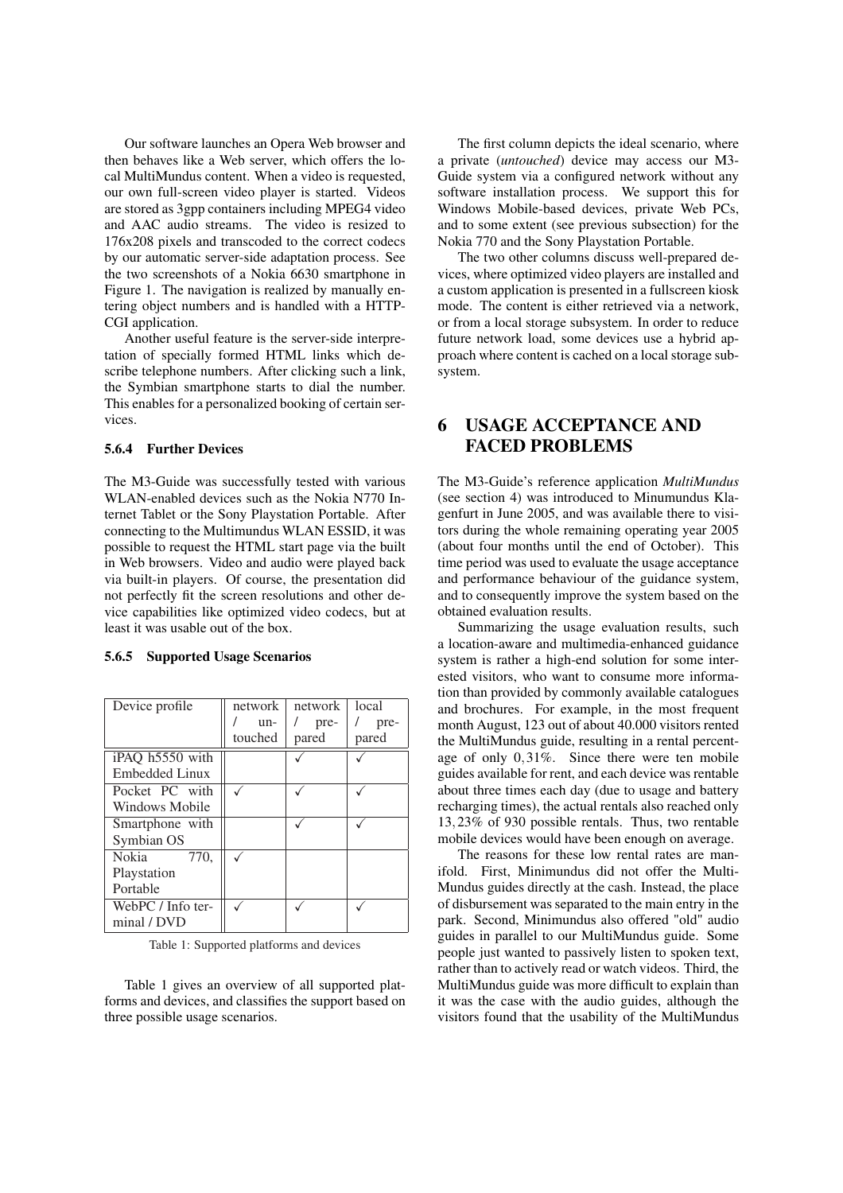Our software launches an Opera Web browser and then behaves like a Web server, which offers the local MultiMundus content. When a video is requested, our own full-screen video player is started. Videos are stored as 3gpp containers including MPEG4 video and AAC audio streams. The video is resized to 176x208 pixels and transcoded to the correct codecs by our automatic server-side adaptation process. See the two screenshots of a Nokia 6630 smartphone in Figure 1. The navigation is realized by manually entering object numbers and is handled with a HTTP-CGI application.

Another useful feature is the server-side interpretation of specially formed HTML links which describe telephone numbers. After clicking such a link, the Symbian smartphone starts to dial the number. This enables for a personalized booking of certain services.

#### 5.6.4 Further Devices

The M3-Guide was successfully tested with various WLAN-enabled devices such as the Nokia N770 Internet Tablet or the Sony Playstation Portable. After connecting to the Multimundus WLAN ESSID, it was possible to request the HTML start page via the built in Web browsers. Video and audio were played back via built-in players. Of course, the presentation did not perfectly fit the screen resolutions and other device capabilities like optimized video codecs, but at least it was usable out of the box.

#### 5.6.5 Supported Usage Scenarios

| Device profile    | network | network | local |
|-------------------|---------|---------|-------|
|                   | un-     | pre-    | pre-  |
|                   | touched | pared   | pared |
| iPAQ h5550 with   |         |         |       |
| Embedded Linux    |         |         |       |
| Pocket PC with    |         |         |       |
| Windows Mobile    |         |         |       |
| Smartphone with   |         |         |       |
| Symbian OS        |         |         |       |
| Nokia<br>770,     |         |         |       |
| Playstation       |         |         |       |
| Portable          |         |         |       |
| WebPC / Info ter- |         |         |       |
| minal / DVD       |         |         |       |

Table 1: Supported platforms and devices

Table 1 gives an overview of all supported platforms and devices, and classifies the support based on three possible usage scenarios.

The first column depicts the ideal scenario, where a private (*untouched*) device may access our M3- Guide system via a configured network without any software installation process. We support this for Windows Mobile-based devices, private Web PCs, and to some extent (see previous subsection) for the Nokia 770 and the Sony Playstation Portable.

The two other columns discuss well-prepared devices, where optimized video players are installed and a custom application is presented in a fullscreen kiosk mode. The content is either retrieved via a network, or from a local storage subsystem. In order to reduce future network load, some devices use a hybrid approach where content is cached on a local storage subsystem.

## 6 USAGE ACCEPTANCE AND FACED PROBLEMS

The M3-Guide's reference application *MultiMundus* (see section 4) was introduced to Minumundus Klagenfurt in June 2005, and was available there to visitors during the whole remaining operating year 2005 (about four months until the end of October). This time period was used to evaluate the usage acceptance and performance behaviour of the guidance system, and to consequently improve the system based on the obtained evaluation results.

Summarizing the usage evaluation results, such a location-aware and multimedia-enhanced guidance system is rather a high-end solution for some interested visitors, who want to consume more information than provided by commonly available catalogues and brochures. For example, in the most frequent month August, 123 out of about 40.000 visitors rented the MultiMundus guide, resulting in a rental percentage of only 0,31%. Since there were ten mobile guides available for rent, and each device was rentable about three times each day (due to usage and battery recharging times), the actual rentals also reached only 13,23% of 930 possible rentals. Thus, two rentable mobile devices would have been enough on average.

The reasons for these low rental rates are manifold. First, Minimundus did not offer the Multi-Mundus guides directly at the cash. Instead, the place of disbursement was separated to the main entry in the park. Second, Minimundus also offered "old" audio guides in parallel to our MultiMundus guide. Some people just wanted to passively listen to spoken text, rather than to actively read or watch videos. Third, the MultiMundus guide was more difficult to explain than it was the case with the audio guides, although the visitors found that the usability of the MultiMundus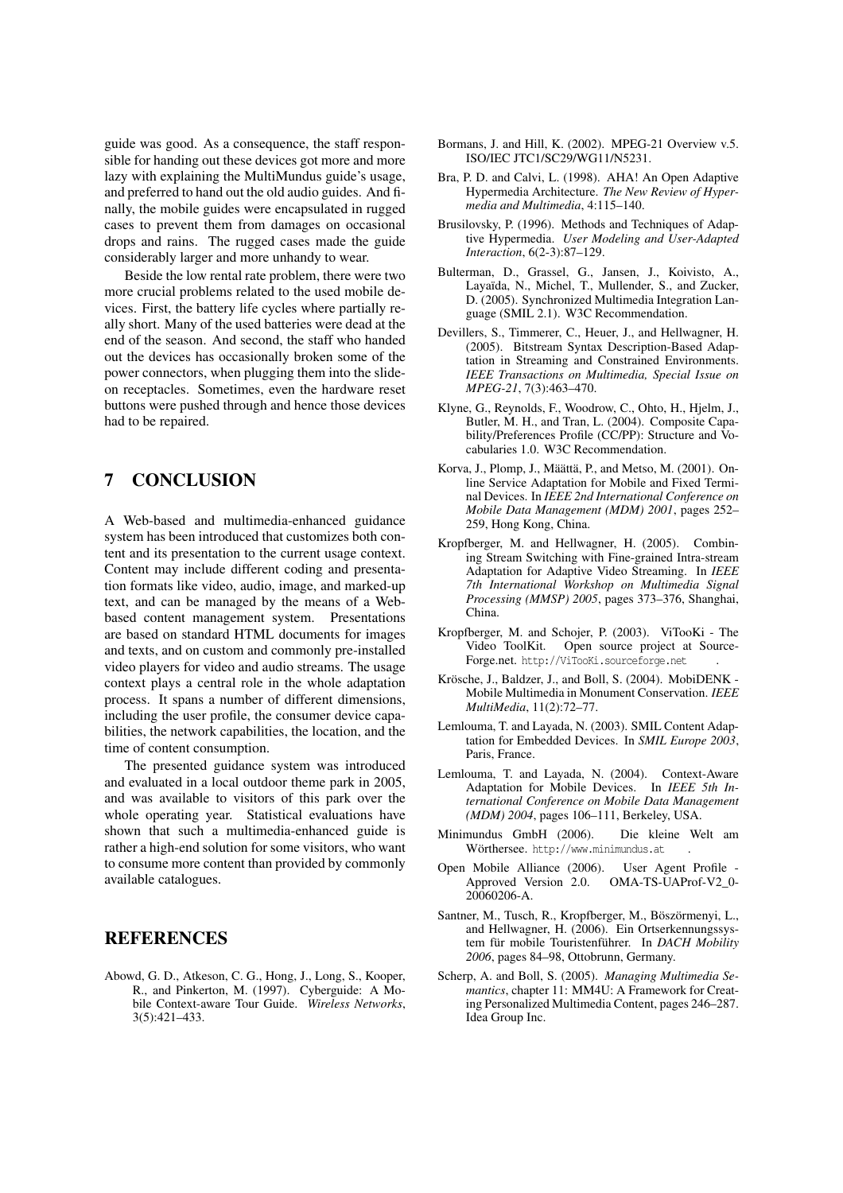guide was good. As a consequence, the staff responsible for handing out these devices got more and more lazy with explaining the MultiMundus guide's usage, and preferred to hand out the old audio guides. And finally, the mobile guides were encapsulated in rugged cases to prevent them from damages on occasional drops and rains. The rugged cases made the guide considerably larger and more unhandy to wear.

Beside the low rental rate problem, there were two more crucial problems related to the used mobile devices. First, the battery life cycles where partially really short. Many of the used batteries were dead at the end of the season. And second, the staff who handed out the devices has occasionally broken some of the power connectors, when plugging them into the slideon receptacles. Sometimes, even the hardware reset buttons were pushed through and hence those devices had to be repaired.

## 7 CONCLUSION

A Web-based and multimedia-enhanced guidance system has been introduced that customizes both content and its presentation to the current usage context. Content may include different coding and presentation formats like video, audio, image, and marked-up text, and can be managed by the means of a Webbased content management system. Presentations are based on standard HTML documents for images and texts, and on custom and commonly pre-installed video players for video and audio streams. The usage context plays a central role in the whole adaptation process. It spans a number of different dimensions, including the user profile, the consumer device capabilities, the network capabilities, the location, and the time of content consumption.

The presented guidance system was introduced and evaluated in a local outdoor theme park in 2005, and was available to visitors of this park over the whole operating year. Statistical evaluations have shown that such a multimedia-enhanced guide is rather a high-end solution for some visitors, who want to consume more content than provided by commonly available catalogues.

### REFERENCES

Abowd, G. D., Atkeson, C. G., Hong, J., Long, S., Kooper, R., and Pinkerton, M. (1997). Cyberguide: A Mobile Context-aware Tour Guide. *Wireless Networks*, 3(5):421–433.

- Bormans, J. and Hill, K. (2002). MPEG-21 Overview v.5. ISO/IEC JTC1/SC29/WG11/N5231.
- Bra, P. D. and Calvi, L. (1998). AHA! An Open Adaptive Hypermedia Architecture. *The New Review of Hypermedia and Multimedia*, 4:115–140.
- Brusilovsky, P. (1996). Methods and Techniques of Adaptive Hypermedia. *User Modeling and User-Adapted Interaction*, 6(2-3):87–129.
- Bulterman, D., Grassel, G., Jansen, J., Koivisto, A., Layaïda, N., Michel, T., Mullender, S., and Zucker, D. (2005). Synchronized Multimedia Integration Language (SMIL 2.1). W3C Recommendation.
- Devillers, S., Timmerer, C., Heuer, J., and Hellwagner, H. (2005). Bitstream Syntax Description-Based Adaptation in Streaming and Constrained Environments. *IEEE Transactions on Multimedia, Special Issue on MPEG-21*, 7(3):463–470.
- Klyne, G., Reynolds, F., Woodrow, C., Ohto, H., Hjelm, J., Butler, M. H., and Tran, L. (2004). Composite Capability/Preferences Profile (CC/PP): Structure and Vocabularies 1.0. W3C Recommendation.
- Korva, J., Plomp, J., Määttä, P., and Metso, M. (2001). Online Service Adaptation for Mobile and Fixed Terminal Devices. In *IEEE 2nd International Conference on Mobile Data Management (MDM) 2001*, pages 252– 259, Hong Kong, China.
- Kropfberger, M. and Hellwagner, H. (2005). Combining Stream Switching with Fine-grained Intra-stream Adaptation for Adaptive Video Streaming. In *IEEE 7th International Workshop on Multimedia Signal Processing (MMSP) 2005*, pages 373–376, Shanghai, China.
- Kropfberger, M. and Schojer, P. (2003). ViTooKi The Video ToolKit. Open source project at Source-Forge.net. http://ViTooKi.sourceforge.net .
- Krösche, J., Baldzer, J., and Boll, S. (2004). MobiDENK Mobile Multimedia in Monument Conservation. *IEEE MultiMedia*, 11(2):72–77.
- Lemlouma, T. and Layada, N. (2003). SMIL Content Adaptation for Embedded Devices. In *SMIL Europe 2003*, Paris, France.
- Lemlouma, T. and Layada, N. (2004). Context-Aware Adaptation for Mobile Devices. In *IEEE 5th International Conference on Mobile Data Management (MDM) 2004*, pages 106–111, Berkeley, USA.
- Minimundus GmbH (2006). Die kleine Welt am Wörthersee. http://www.minimundus.at .
- Open Mobile Alliance (2006). User Agent Profile Approved Version 2.0. OMA-TS-UAProf-V2\_0- 20060206-A.
- Santner, M., Tusch, R., Kropfberger, M., Böszörmenyi, L., and Hellwagner, H. (2006). Ein Ortserkennungssystem für mobile Touristenführer. In *DACH Mobility 2006*, pages 84–98, Ottobrunn, Germany.
- Scherp, A. and Boll, S. (2005). *Managing Multimedia Semantics*, chapter 11: MM4U: A Framework for Creating Personalized Multimedia Content, pages 246–287. Idea Group Inc.